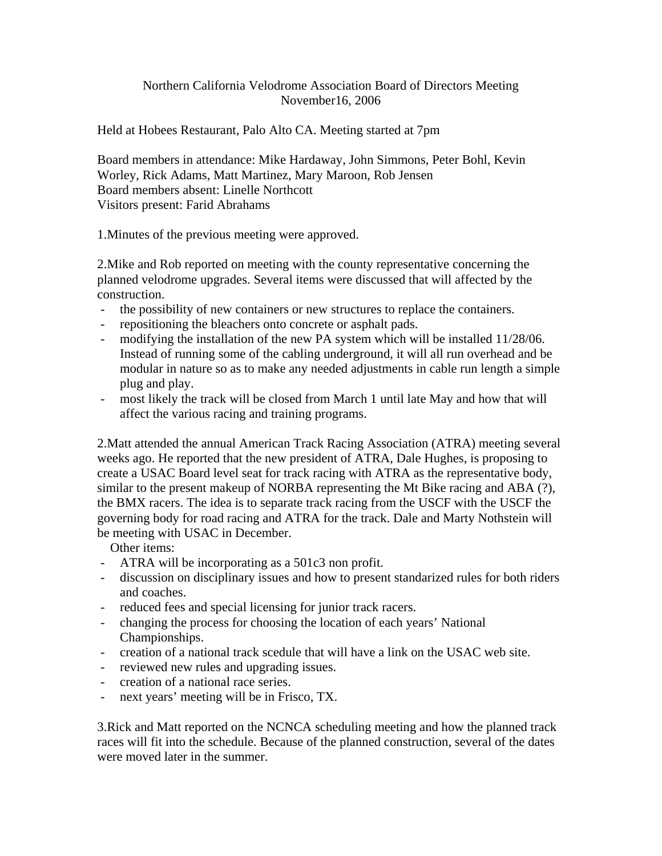## Northern California Velodrome Association Board of Directors Meeting November16, 2006

Held at Hobees Restaurant, Palo Alto CA. Meeting started at 7pm

Board members in attendance: Mike Hardaway, John Simmons, Peter Bohl, Kevin Worley, Rick Adams, Matt Martinez, Mary Maroon, Rob Jensen Board members absent: Linelle Northcott Visitors present: Farid Abrahams

1.Minutes of the previous meeting were approved.

2.Mike and Rob reported on meeting with the county representative concerning the planned velodrome upgrades. Several items were discussed that will affected by the construction.

- the possibility of new containers or new structures to replace the containers.
- repositioning the bleachers onto concrete or asphalt pads.
- modifying the installation of the new PA system which will be installed 11/28/06. Instead of running some of the cabling underground, it will all run overhead and be modular in nature so as to make any needed adjustments in cable run length a simple plug and play.
- most likely the track will be closed from March 1 until late May and how that will affect the various racing and training programs.

2.Matt attended the annual American Track Racing Association (ATRA) meeting several weeks ago. He reported that the new president of ATRA, Dale Hughes, is proposing to create a USAC Board level seat for track racing with ATRA as the representative body, similar to the present makeup of NORBA representing the Mt Bike racing and ABA (?), the BMX racers. The idea is to separate track racing from the USCF with the USCF the governing body for road racing and ATRA for the track. Dale and Marty Nothstein will be meeting with USAC in December.

Other items:

- ATRA will be incorporating as a 501c3 non profit.
- discussion on disciplinary issues and how to present standarized rules for both riders and coaches.
- reduced fees and special licensing for junior track racers.
- changing the process for choosing the location of each years' National Championships.
- creation of a national track scedule that will have a link on the USAC web site.
- reviewed new rules and upgrading issues.
- creation of a national race series.
- next years' meeting will be in Frisco, TX.

3.Rick and Matt reported on the NCNCA scheduling meeting and how the planned track races will fit into the schedule. Because of the planned construction, several of the dates were moved later in the summer.